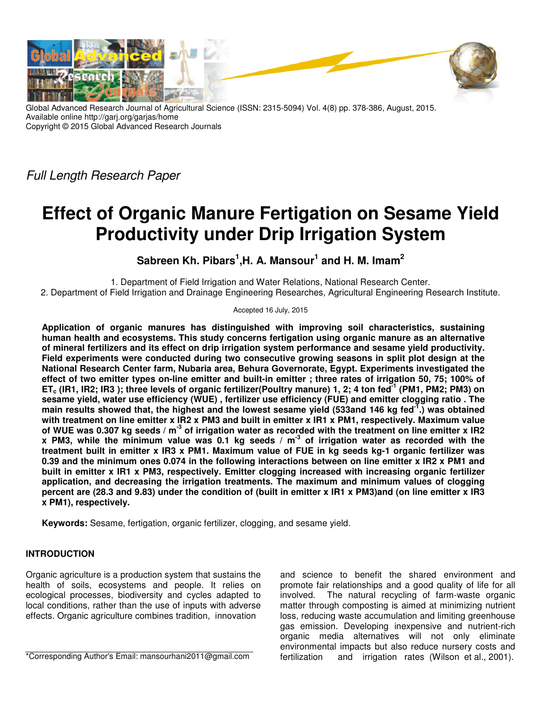

Global Advanced Research Journal of Agricultural Science (ISSN: 2315-5094) Vol. 4(8) pp. 378-386, August, 2015. Available online http://garj.org/garjas/home Copyright © 2015 Global Advanced Research Journals

Full Length Research Paper

# **Effect of Organic Manure Fertigation on Sesame Yield Productivity under Drip Irrigation System**

**Sabreen Kh. Pibars<sup>1</sup> ,H. A. Mansour<sup>1</sup> and H. M. Imam<sup>2</sup>**

1. Department of Field Irrigation and Water Relations, National Research Center. 2. Department of Field Irrigation and Drainage Engineering Researches, Agricultural Engineering Research Institute.

Accepted 16 July, 2015

**Application of organic manures has distinguished with improving soil characteristics, sustaining human health and ecosystems. This study concerns fertigation using organic manure as an alternative of mineral fertilizers and its effect on drip irrigation system performance and sesame yield productivity. Field experiments were conducted during two consecutive growing seasons in split plot design at the National Research Center farm, Nubaria area, Behura Governorate, Egypt. Experiments investigated the effect of two emitter types on-line emitter and built-in emitter ; three rates of irrigation 50, 75; 100% of ETc (IR1, IR2; IR3 ); three levels of organic fertilizer(Poultry manure) 1, 2; 4 ton fed-1 (PM1, PM2; PM3) on sesame yield, water use efficiency (WUE) , fertilizer use efficiency (FUE) and emitter clogging ratio . The main results showed that, the highest and the lowest sesame yield (533and 146 kg fed-1.) was obtained with treatment on line emitter x IR2 x PM3 and built in emitter x IR1 x PM1, respectively. Maximum value of WUE was 0.307 kg seeds / m-3 of irrigation water as recorded with the treatment on line emitter x IR2 x PM3, while the minimum value was 0.1 kg seeds / m-3 of irrigation water as recorded with the treatment built in emitter x IR3 x PM1. Maximum value of FUE in kg seeds kg-1 organic fertilizer was 0.39 and the minimum ones 0.074 in the following interactions between on line emitter x IR2 x PM1 and built in emitter x IR1 x PM3, respectively. Emitter clogging increased with increasing organic fertilizer application, and decreasing the irrigation treatments. The maximum and minimum values of clogging percent are (28.3 and 9.83) under the condition of (built in emitter x IR1 x PM3)and (on line emitter x IR3 x PM1), respectively.** 

**Keywords:** Sesame, fertigation, organic fertilizer, clogging, and sesame yield.

# **INTRODUCTION**

Organic agriculture is a production system that sustains the health of soils, ecosystems and people. It relies on ecological processes, biodiversity and cycles adapted to local conditions, rather than the use of inputs with adverse effects. Organic agriculture combines tradition, innovation

\*Corresponding Author's Email: mansourhani2011@gmail.com

and science to benefit the shared environment and promote fair relationships and a good quality of life for all involved. The natural recycling of farm-waste organic matter through composting is aimed at minimizing nutrient loss, reducing waste accumulation and limiting greenhouse gas emission. Developing inexpensive and nutrient-rich organic media alternatives will not only eliminate environmental impacts but also reduce nursery costs and fertilization and irrigation rates (Wilson et al., 2001).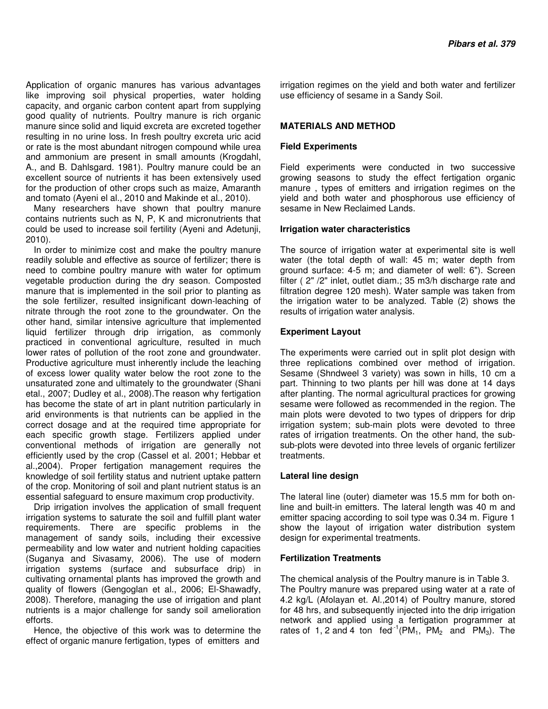Application of organic manures has various advantages like improving soil physical properties, water holding capacity, and organic carbon content apart from supplying good quality of nutrients. Poultry manure is rich organic manure since solid and liquid excreta are excreted together resulting in no urine loss. In fresh poultry excreta uric acid or rate is the most abundant nitrogen compound while urea and ammonium are present in small amounts (Krogdahl, A., and B. Dahlsgard. 1981). Poultry manure could be an excellent source of nutrients it has been extensively used for the production of other crops such as maize, Amaranth and tomato (Ayeni el al., 2010 and Makinde et al., 2010).

Many researchers have shown that poultry manure contains nutrients such as N, P, K and micronutrients that could be used to increase soil fertility (Ayeni and Adetunji, 2010).

In order to minimize cost and make the poultry manure readily soluble and effective as source of fertilizer; there is need to combine poultry manure with water for optimum vegetable production during the dry season. Composted manure that is implemented in the soil prior to planting as the sole fertilizer, resulted insignificant down-leaching of nitrate through the root zone to the groundwater. On the other hand, similar intensive agriculture that implemented liquid fertilizer through drip irrigation, as commonly practiced in conventional agriculture, resulted in much lower rates of pollution of the root zone and groundwater. Productive agriculture must inherently include the leaching of excess lower quality water below the root zone to the unsaturated zone and ultimately to the groundwater (Shani etal., 2007; Dudley et al., 2008).The reason why fertigation has become the state of art in plant nutrition particularly in arid environments is that nutrients can be applied in the correct dosage and at the required time appropriate for each specific growth stage. Fertilizers applied under conventional methods of irrigation are generally not efficiently used by the crop (Cassel et al. 2001; Hebbar et al.,2004). Proper fertigation management requires the knowledge of soil fertility status and nutrient uptake pattern of the crop. Monitoring of soil and plant nutrient status is an essential safeguard to ensure maximum crop productivity.

Drip irrigation involves the application of small frequent irrigation systems to saturate the soil and fulfill plant water requirements. There are specific problems in the management of sandy soils, including their excessive permeability and low water and nutrient holding capacities (Suganya and Sivasamy, 2006). The use of modern irrigation systems (surface and subsurface drip) in cultivating ornamental plants has improved the growth and quality of flowers (Gengoglan et al., 2006; El-Shawadfy, 2008). Therefore, managing the use of irrigation and plant nutrients is a major challenge for sandy soil amelioration efforts.

Hence, the objective of this work was to determine the effect of organic manure fertigation, types of emitters and

irrigation regimes on the yield and both water and fertilizer use efficiency of sesame in a Sandy Soil.

## **MATERIALS AND METHOD**

## **Field Experiments**

Field experiments were conducted in two successive growing seasons to study the effect fertigation organic manure , types of emitters and irrigation regimes on the yield and both water and phosphorous use efficiency of sesame in New Reclaimed Lands.

### **Irrigation water characteristics**

The source of irrigation water at experimental site is well water (the total depth of wall: 45 m; water depth from ground surface: 4-5 m; and diameter of well: 6"). Screen filter ( 2" /2" inlet, outlet diam.; 35 m3/h discharge rate and filtration degree 120 mesh). Water sample was taken from the irrigation water to be analyzed. Table (2) shows the results of irrigation water analysis.

### **Experiment Layout**

The experiments were carried out in split plot design with three replications combined over method of irrigation. Sesame (Shndweel 3 variety) was sown in hills, 10 cm a part. Thinning to two plants per hill was done at 14 days after planting. The normal agricultural practices for growing sesame were followed as recommended in the region. The main plots were devoted to two types of drippers for drip irrigation system; sub-main plots were devoted to three rates of irrigation treatments. On the other hand, the subsub-plots were devoted into three levels of organic fertilizer treatments.

#### **Lateral line design**

The lateral line (outer) diameter was 15.5 mm for both online and built-in emitters. The lateral length was 40 m and emitter spacing according to soil type was 0.34 m. Figure 1 show the layout of irrigation water distribution system design for experimental treatments.

## **Fertilization Treatments**

The chemical analysis of the Poultry manure is in Table 3. The Poultry manure was prepared using water at a rate of 4.2 kg/L (Afolayan et. Al.,2014) of Poultry manure, stored for 48 hrs, and subsequently injected into the drip irrigation network and applied using a fertigation programmer at rates of 1, 2 and 4 ton fed<sup>-1</sup>(PM<sub>1</sub>, PM<sub>2</sub> and PM<sub>3</sub>). The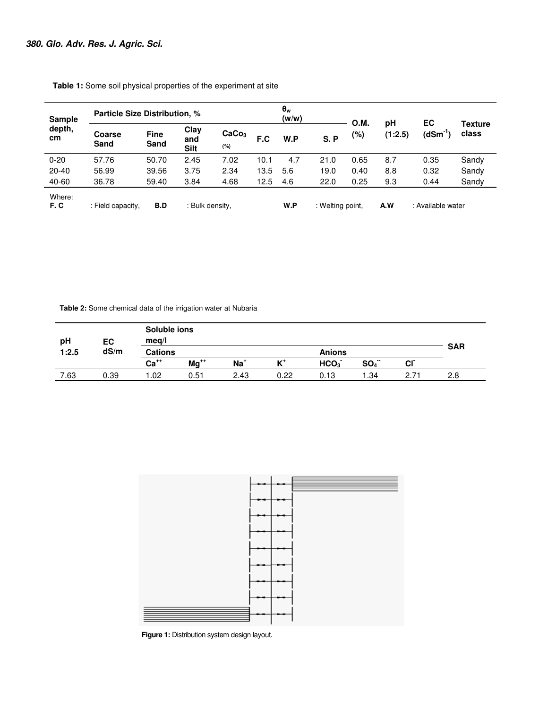| <b>Sample</b><br>depth,<br>cm | <b>Particle Size Distribution, %</b>        |                     |                            |                          |      | $\theta_w$<br>(w/w) |      | <b>O.M.</b> | рH                | EC           |                         |
|-------------------------------|---------------------------------------------|---------------------|----------------------------|--------------------------|------|---------------------|------|-------------|-------------------|--------------|-------------------------|
|                               | Coarse<br>Sand                              | <b>Fine</b><br>Sand | Clay<br>and<br><b>Silt</b> | CaCo <sub>3</sub><br>(%) | F.C  | W.P                 | S.P  | (%)         | (1:2.5)           | $(dSm^{-1})$ | <b>Texture</b><br>class |
| $0 - 20$                      | 57.76                                       | 50.70               | 2.45                       | 7.02                     | 10.1 | 4.7                 | 21.0 | 0.65        | 8.7               | 0.35         | Sandy                   |
| $20 - 40$                     | 56.99                                       | 39.56               | 3.75                       | 2.34                     | 13.5 | 5.6                 | 19.0 | 0.40        | 8.8               | 0.32         | Sandy                   |
| 40-60                         | 36.78                                       | 59.40               | 3.84                       | 4.68                     | 12.5 | 4.6                 | 22.0 | 0.25        | 9.3               | 0.44         | Sandy                   |
| Where:<br>F.C                 | B.D<br>: Bulk density,<br>: Field capacity, |                     |                            |                          | W.P  | : Welting point,    |      | A.W         | : Available water |              |                         |

 **Table 1:** Some soil physical properties of the experiment at site

 **Table 2:** Some chemical data of the irrigation water at Nubaria

| pH    | EC   | Soluble ions<br>meq/l |           |                 |       |                  |          |           |            |  |
|-------|------|-----------------------|-----------|-----------------|-------|------------------|----------|-----------|------------|--|
| 1:2.5 | dS/m | <b>Cations</b>        |           |                 |       | <b>Anions</b>    |          |           | <b>SAR</b> |  |
|       |      | $Ca++$                | $Mg^{+*}$ | Na <sup>+</sup> | $K^+$ | HCO <sub>3</sub> | $SO_4^-$ | <b>CI</b> |            |  |
| 7.63  | 0.39 | .02                   | 0.51      | 2.43            | 0.22  | 0.13             | .34      | 2.71      | 2.8        |  |



 **Figure 1:** Distribution system design layout.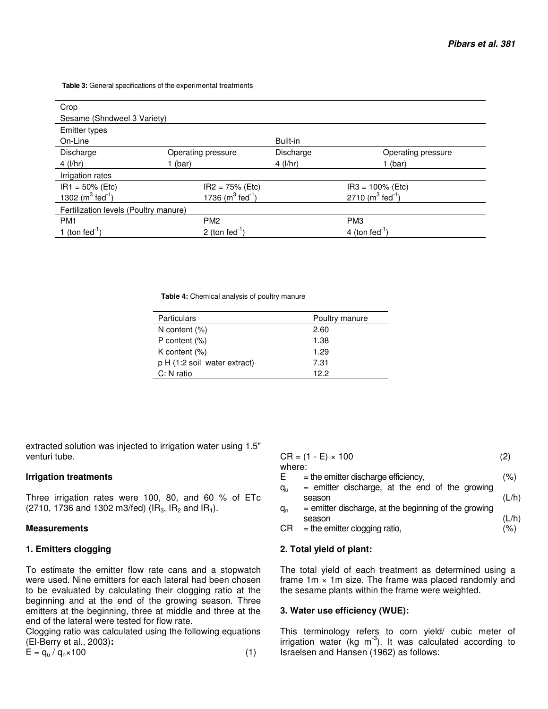**Table 3:** General specifications of the experimental treatments

| Crop                                  |                                  |              |                                  |  |  |  |  |
|---------------------------------------|----------------------------------|--------------|----------------------------------|--|--|--|--|
| Sesame (Shndweel 3 Variety)           |                                  |              |                                  |  |  |  |  |
| <b>Emitter types</b>                  |                                  |              |                                  |  |  |  |  |
| On-Line                               |                                  | Built-in     |                                  |  |  |  |  |
| Discharge                             | Operating pressure               | Discharge    | Operating pressure               |  |  |  |  |
| $4$ (l/hr)                            | 1 (bar)                          | 4 ( $I/hr$ ) | 1 (bar)                          |  |  |  |  |
| Irrigation rates                      |                                  |              |                                  |  |  |  |  |
| $IR1 = 50\%$ (Etc)                    | $IR2 = 75% (Etc)$                |              | $IR3 = 100\%$ (Etc)              |  |  |  |  |
| 1302 ( $m^3$ fed <sup>-1</sup> )      | 1736 ( $m^3$ fed <sup>-1</sup> ) |              | 2710 ( $m^3$ fed <sup>-1</sup> ) |  |  |  |  |
| Fertilization levels (Poultry manure) |                                  |              |                                  |  |  |  |  |
| PM <sub>1</sub>                       | PM <sub>2</sub>                  |              | PM <sub>3</sub>                  |  |  |  |  |
| 1 (ton fed $-1$ )                     | 2 (ton fed $^{-1}$ )             |              | 4 (ton fed <sup>-1</sup> )       |  |  |  |  |

 **Table 4:** Chemical analysis of poultry manure

| <b>Particulars</b>            | Poultry manure |
|-------------------------------|----------------|
| N content $(\%)$              | 2.60           |
| P content $(\%)$              | 1.38           |
| K content $(\%)$              | 1.29           |
| p H (1:2 solid water extract) | 7.31           |
| C: N ratio                    | 12.2           |
|                               |                |

extracted solution was injected to irrigation water using 1.5" venturi tube.

 $\overline{a}$ 

#### **Irrigation treatments**

Three irrigation rates were 100, 80, and 60 % of ETc (2710, 1736 and 1302 m3/fed) ( $IR_3$ ,  $IR_2$  and  $IR_1$ ).

#### **Measurements**

## **1. Emitters clogging**

To estimate the emitter flow rate cans and a stopwatch were used. Nine emitters for each lateral had been chosen to be evaluated by calculating their clogging ratio at the beginning and at the end of the growing season. Three emitters at the beginning, three at middle and three at the end of the lateral were tested for flow rate.

Clogging ratio was calculated using the following equations (El-Berry et al., 2003)**:**

| $CR = (1 - E) \times 100$ |                                                        |       |  |  |  |
|---------------------------|--------------------------------------------------------|-------|--|--|--|
| where:                    |                                                        |       |  |  |  |
| Е                         | $=$ the emitter discharge efficiency,                  | (%)   |  |  |  |
| qu                        | $=$ emitter discharge, at the end of the growing       |       |  |  |  |
|                           | season                                                 | (L/h) |  |  |  |
| $q_{n}$                   | $=$ emitter discharge, at the beginning of the growing |       |  |  |  |
|                           | season                                                 | (L/h) |  |  |  |
| CR                        | $=$ the emitter clogging ratio,                        | (%)   |  |  |  |

### **2. Total yield of plant:**

The total yield of each treatment as determined using a frame  $1m \times 1m$  size. The frame was placed randomly and the sesame plants within the frame were weighted.

#### **3. Water use efficiency (WUE):**

This terminology refers to corn yield/ cubic meter of irrigation water (kg  $m^{-3}$ ). It was calculated according to Israelsen and Hansen (1962) as follows: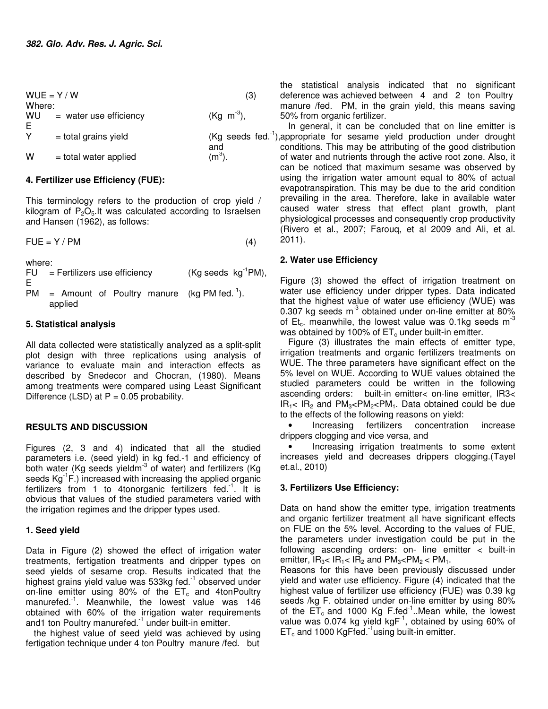$WUE = Y/W$  (3) Where: WU E<br>Y  $=$  water use efficiency (Kg  $m^{-3}$ ). and  $W =$  total water applied  $(m^3)$ .

## **4. Fertilizer use Efficiency (FUE):**

This terminology refers to the production of crop yield / kilogram of  $P_2O_5$ . It was calculated according to Israelsen and Hansen (1962), as follows:

$$
FUE = Y / PM
$$
 (4)

where:

- FU E  $=$  Fertilizers use efficiency  $(Kg$  seeds  $kg^{-1}PM$ ),
- PM = Amount of Poultry manure (kg PM fed.<sup>-1</sup>). applied

## **5. Statistical analysis**

All data collected were statistically analyzed as a split-split plot design with three replications using analysis of variance to evaluate main and interaction effects as described by Snedecor and Chocran, (1980). Means among treatments were compared using Least Significant Difference (LSD) at  $P = 0.05$  probability.

## **RESULTS AND DISCUSSION**

Figures (2, 3 and 4) indicated that all the studied parameters i.e. (seed yield) in kg fed.-1 and efficiency of both water (Kg seeds yieldm<sup>-3</sup> of water) and fertilizers (Kg seeds Kg<sup>-1</sup>F.) increased with increasing the applied organic fertilizers from 1 to 4tonorganic fertilizers fed.<sup>-1</sup>. It is obvious that values of the studied parameters varied with the irrigation regimes and the dripper types used.

## **1. Seed yield**

Data in Figure (2) showed the effect of irrigation water treatments, fertigation treatments and dripper types on seed yields of sesame crop. Results indicated that the highest grains yield value was 533kg fed.<sup>1</sup> observed under on-line emitter using 80% of the  $ET_c$  and 4tonPoultry manurefed.<sup>-1</sup>. Meanwhile, the lowest value was 146 obtained with 60% of the irrigation water requirements and1 ton Poultry manurefed.<sup>-1</sup> under built-in emitter.

the highest value of seed yield was achieved by using fertigation technique under 4 ton Poultry manure /fed. but

the statistical analysis indicated that no significant deference was achieved between 4 and 2 ton Poultry manure /fed. PM, in the grain yield, this means saving 50% from organic fertilizer.

 $Y =$  total grains yield  $(Kg$  seeds fed.<sup>-1</sup>), appropriate for sesame yield production under drought In general, it can be concluded that on line emitter is conditions. This may be attributing of the good distribution of water and nutrients through the active root zone. Also, it can be noticed that maximum sesame was observed by using the irrigation water amount equal to 80% of actual evapotranspiration. This may be due to the arid condition prevailing in the area. Therefore, lake in available water caused water stress that effect plant growth, plant physiological processes and consequently crop productivity (Rivero et al., 2007; Farouq, et al 2009 and Ali, et al. 2011).

## **2. Water use Efficiency**

Figure (3) showed the effect of irrigation treatment on water use efficiency under dripper types. Data indicated that the highest value of water use efficiency (WUE) was 0.307 kg seeds m<sup>-3</sup> obtained under on-line emitter at 80% of Et<sub>c</sub>. meanwhile, the lowest value was 0.1kg seeds  $m<sup>-3</sup>$ was obtained by 100% of  $ET_c$  under built-in emitter.

Figure (3) illustrates the main effects of emitter type, irrigation treatments and organic fertilizers treatments on WUE. The three parameters have significant effect on the 5% level on WUE. According to WUE values obtained the studied parameters could be written in the following ascending orders: built-in emitter< on-line emitter, IR3<  $IR_1$ <  $IR_2$  and  $PM_3$ <PM<sub>2</sub><PM<sub>1</sub>. Data obtained could be due to the effects of the following reasons on yield:

• Increasing fertilizers concentration increase drippers clogging and vice versa, and

• Increasing irrigation treatments to some extent increases yield and decreases drippers clogging.(Tayel et.al., 2010)

## **3. Fertilizers Use Efficiency:**

Data on hand show the emitter type, irrigation treatments and organic fertilizer treatment all have significant effects on FUE on the 5% level. According to the values of FUE, the parameters under investigation could be put in the following ascending orders: on- line emitter < built-in emitter,  $IR_{3}$ <  $IR_{1}$  <  $IR_{2}$  and  $PM_{3}$  <  $PM_{2}$  <  $PM_{1}$ .

Reasons for this have been previously discussed under yield and water use efficiency. Figure (4) indicated that the highest value of fertilizer use efficiency (FUE) was 0.39 kg seeds /kg F. obtained under on-line emitter by using 80% of the  $ET_c$  and 1000 Kg F.fed<sup>-1</sup>..Mean while, the lowest value was 0.074 kg yield  $kgF^{-1}$ , obtained by using 60% of  $ET_c$  and 1000 KgFfed.<sup>-1</sup>using built-in emitter.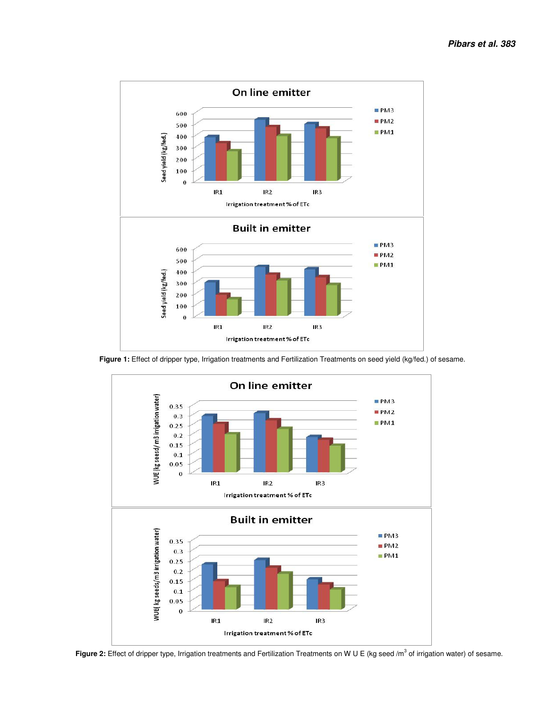

 **Figure 1:** Effect of dripper type, Irrigation treatments and Fertilization Treatments on seed yield (kg/fed.) of sesame.



Figure 2: Effect of dripper type, Irrigation treatments and Fertilization Treatments on W U E (kg seed /m<sup>3</sup> of irrigation water) of sesame.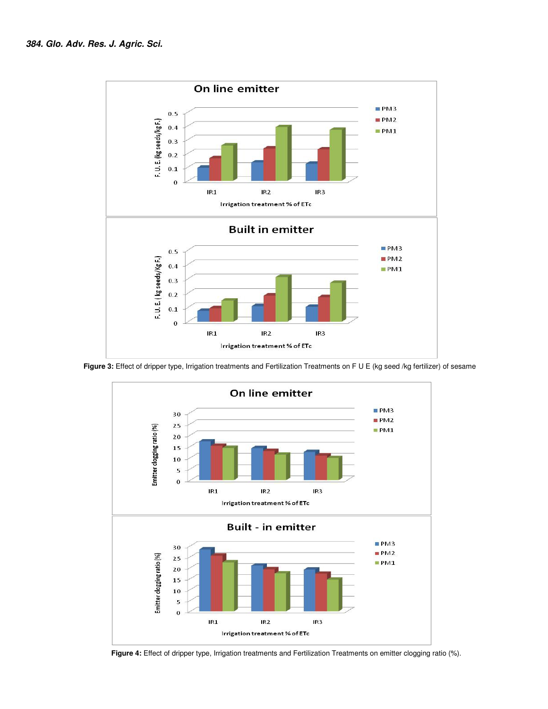

 **Figure 3:** Effect of dripper type, Irrigation treatments and Fertilization Treatments on F U E (kg seed /kg fertilizer) of sesame



 **Figure 4:** Effect of dripper type, Irrigation treatments and Fertilization Treatments on emitter clogging ratio (%).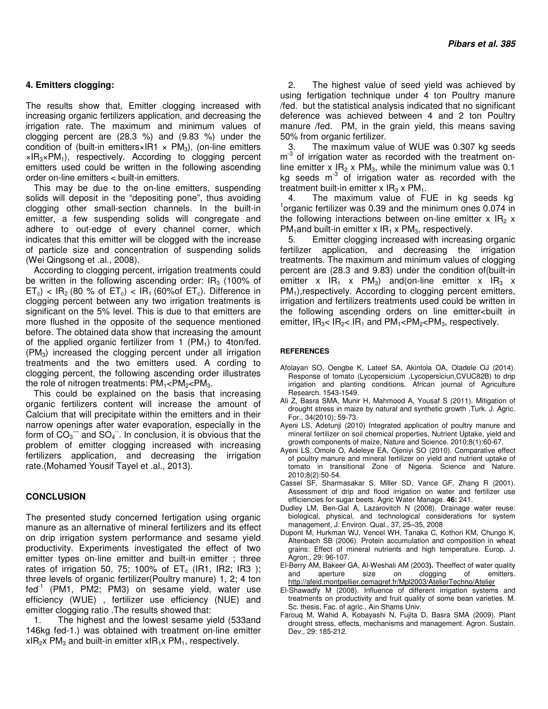#### **4. Emitters clogging:**

The results show that, Emitter clogging increased with increasing organic fertilizers application, and decreasing the irrigation rate. The maximum and minimum values of clogging percent are (28.3 %) and (9.83 %) under the condition of (built-in emitters×IR1  $\times$  PM<sub>3</sub>), (on-line emitters  $\times$ IR<sub>3</sub>×PM<sub>1</sub>), respectively. According to clogging percent emitters used could be written in the following ascending order on-line emitters < built-in emitters.

This may be due to the on-line emitters, suspending solids will deposit in the "depositing pone", thus avoiding clogging other small-section channels. In the built-in emitter, a few suspending solids will congregate and adhere to out-edge of every channel corner, which indicates that this emitter will be clogged with the increase of particle size and concentration of suspending solids (Wei Qingsong et .al., 2008).

According to clogging percent, irrigation treatments could be written in the following ascending order:  $IR<sub>3</sub>$  (100% of  $ET_c$ ) <  $IR_2$  (80 % of  $ET_c$ ) <  $IR_1$  (60% of  $ET_c$ ). Difference in clogging percent between any two irrigation treatments is significant on the 5% level. This is due to that emitters are more flushed in the opposite of the sequence mentioned before. The obtained data show that increasing the amount of the applied organic fertilizer from 1  $(PM_1)$  to 4ton/fed. (PM3) increased the clogging percent under all irrigation treatments and the two emitters used. A cording to clogging percent, the following ascending order illustrates the role of nitrogen treatments:  $PM_1 < PM_2 < PM_3$ .

This could be explained on the basis that increasing organic fertilizers content will increase the amount of Calcium that will precipitate within the emitters and in their narrow openings after water evaporation, especially in the form of  $CO_3^-$  and  $SO_4^-$ . In conclusion, it is obvious that the problem of emitter clogging increased with increasing fertilizers application, and decreasing the irrigation rate.(Mohamed Yousif Tayel et .al., 2013).

#### **CONCLUSION**

The presented study concerned fertigation using organic manure as an alternative of mineral fertilizers and its effect on drip irrigation system performance and sesame yield productivity. Experiments investigated the effect of two emitter types on-line emitter and built-in emitter ; three rates of irrigation 50, 75; 100% of  $ET_c$  (IR1, IR2; IR3); three levels of organic fertilizer(Poultry manure) 1, 2; 4 ton fed<sup>-1</sup> (PM1, PM2; PM3) on sesame yield, water use efficiency (WUE) , fertilizer use efficiency (NUE) and emitter clogging ratio .The results showed that:

1. The highest and the lowest sesame yield (533and 146kg fed-1.) was obtained with treatment on-line emitter  $xIR_2x$  PM<sub>3</sub> and built-in emitter  $xIR_1x$  PM<sub>1</sub>, respectively.

2. The highest value of seed yield was achieved by using fertigation technique under 4 ton Poultry manure /fed. but the statistical analysis indicated that no significant deference was achieved between 4 and 2 ton Poultry manure /fed. PM, in the grain yield, this means saving 50% from organic fertilizer.

3. The maximum value of WUE was 0.307 kg seeds m<sup>-3</sup> of irrigation water as recorded with the treatment online emitter x  $IR<sub>2</sub>$  x PM<sub>3</sub>, while the minimum value was 0.1 kg seeds  $m<sup>-3</sup>$  of irrigation water as recorded with the treatment built-in emitter x  $IR_3$  x  $PM_1$ .<br>4. The maximum value of FI

The maximum value of FUE in kg seeds kg 1 organic fertilizer was 0.39 and the minimum ones 0.074 in the following interactions between on-line emitter  $x \, \text{IR}_2 \, x$ PM<sub>1</sub>and built-in emitter x  $IR_1$  x PM<sub>3</sub>, respectively.

5. Emitter clogging increased with increasing organic fertilizer application, and decreasing the irrigation treatments. The maximum and minimum values of clogging percent are (28.3 and 9.83) under the condition of(built-in emitter x  $IR_1$  x PM<sub>3</sub>) and(on-line emitter x  $IR_3$  x PM<sub>1</sub>), respectively. According to clogging percent emitters, irrigation and fertilizers treatments used could be written in the following ascending orders on line emitter<built in emitter,  $IR_{3}$ <  $IR_{2}$  k  $IR_{1}$  and  $PM_{1}$  <  $PM_{2}$  k  $PM_{3}$ , respectively.

#### **REFERENCES**

- Afolayan SO, Oengbe K, Lateef SA, Akintola OA, Oladele OJ (2014). Response of tomato (Lycopersicium ,Lycopersiciun,CVUC82B) to drip irrigation and planting conditions. African journal of Agriculture Research. 1543-1549.
- Ali Z, Basra SMA, Munir H, Mahmood A, Yousaf S (2011). Mitigation of drought stress in maize by natural and synthetic growth .Turk. J. Agric. For., 34(2010): 59-73.
- Ayeni LS, Adetunji (2010) Integrated application of poultry manure and mineral fertilizer on soil chemical properties, Nutrient Uptake, yield and growth components of maize, Nature and Science. 2010;8(1):60-67.
- Ayeni LS, Omole O, Adeleye EA, Ojeniyi SO (2010). Comparative effect of poultry manure and mineral fertilizer on yield and nutrient uptake of tomato in transitional Zone of Nigeria. Science and Nature. 2010;8(2):50-54.
- Cassel SF, Sharmasakar S, Miller SD, Vance GF, Zhang R (2001). Assessment of drip and flood irrigation on water and fertilizer use efficiencies for sugar beets. Agric Water Manage. **46:** 241.
- Dudley LM, Ben-Gal A, Lazarovitch N (2008). Drainage water reuse: biological, physical, and technological considerations for system management, J. Environ. Qual., 37, 25–35, 2008
- Dupont M, Hurkman WJ, Vencel WH, Tanaka C, Kothori KM, Chungo K, Altenbach SB (2006). Protein accumulation and composition in wheat grains: Effect of mineral nutrients and high temperature. Europ. J. Agron., 29: 96-107.
- El-Berry AM, Bakeer GA, Al-Weshali AM (2003**).** Theeffect of water quality and aperture size on clogging of emitters. http://afeid.montpellier.cemagref.fr/Mpl2003/AtelierTechno/Atelier
- El-Shawadfy M (2008). Influence of different irrigation systems and treatments on productivity and fruit quality of some bean varieties. M. Sc. thesis, Fac. of agric., Ain Shams Univ.
- Farouq M, Wahid A, Kobayashi N, Fujita D, Basra SMA (2009). Plant drought stress, effects, mechanisms and management. Agron. Sustain. Dev., 29: 185-212.